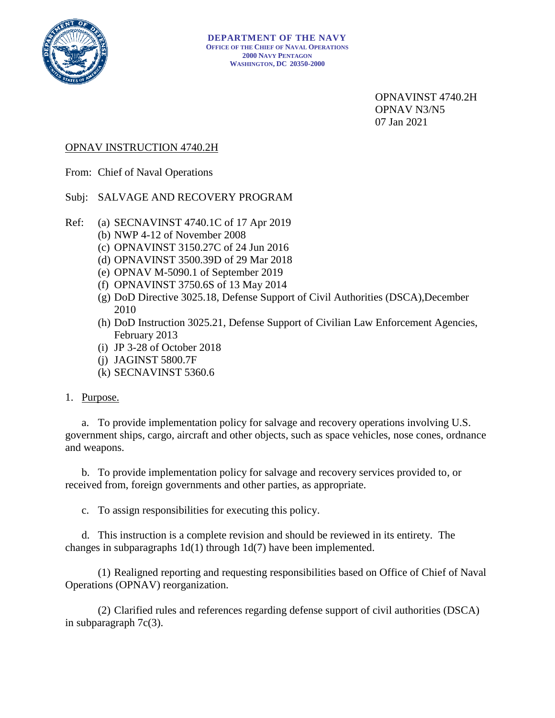

OPNAVINST 4740.2H OPNAV N3/N5 07 Jan 2021

# OPNAV INSTRUCTION 4740.2H

From: Chief of Naval Operations

# Subj: SALVAGE AND RECOVERY PROGRAM

- Ref: (a) SECNAVINST 4740.1C of 17 Apr 2019
	- (b) NWP 4-12 of November 2008
	- (c) OPNAVINST 3150.27C of 24 Jun 2016
	- (d) OPNAVINST 3500.39D of 29 Mar 2018
	- (e) OPNAV M-5090.1 of September 2019
	- (f) OPNAVINST 3750.6S of 13 May 2014
	- (g) DoD Directive 3025.18, Defense Support of Civil Authorities (DSCA),December 2010
	- (h) DoD Instruction 3025.21, Defense Support of Civilian Law Enforcement Agencies, February 2013
	- (i) JP 3-28 of October 2018
	- (j) JAGINST 5800.7F
	- (k) SECNAVINST 5360.6

# 1. Purpose.

a. To provide implementation policy for salvage and recovery operations involving U.S. government ships, cargo, aircraft and other objects, such as space vehicles, nose cones, ordnance and weapons.

b. To provide implementation policy for salvage and recovery services provided to, or received from, foreign governments and other parties, as appropriate.

c. To assign responsibilities for executing this policy.

d. This instruction is a complete revision and should be reviewed in its entirety. The changes in subparagraphs 1d(1) through 1d(7) have been implemented.

(1) Realigned reporting and requesting responsibilities based on Office of Chief of Naval Operations (OPNAV) reorganization.

(2) Clarified rules and references regarding defense support of civil authorities (DSCA) in subparagraph 7c(3).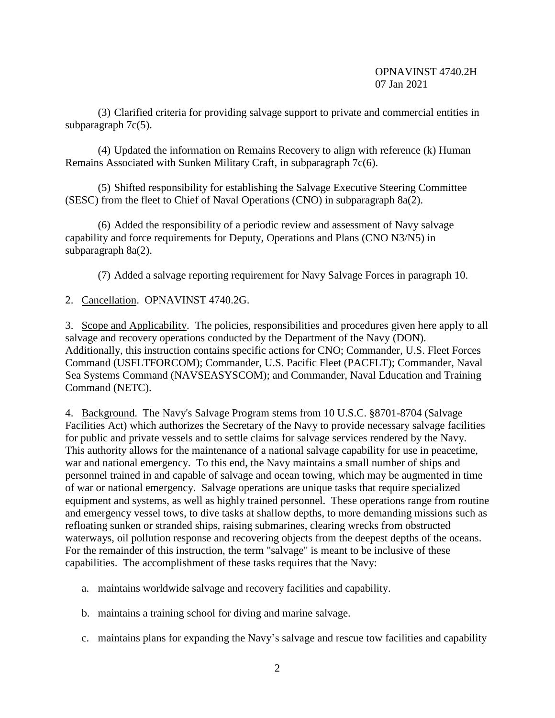(3) Clarified criteria for providing salvage support to private and commercial entities in subparagraph 7c(5).

(4) Updated the information on Remains Recovery to align with reference (k) Human Remains Associated with Sunken Military Craft, in subparagraph 7c(6).

(5) Shifted responsibility for establishing the Salvage Executive Steering Committee (SESC) from the fleet to Chief of Naval Operations (CNO) in subparagraph 8a(2).

(6) Added the responsibility of a periodic review and assessment of Navy salvage capability and force requirements for Deputy, Operations and Plans (CNO N3/N5) in subparagraph 8a(2).

(7) Added a salvage reporting requirement for Navy Salvage Forces in paragraph 10.

2. Cancellation. OPNAVINST 4740.2G.

3. Scope and Applicability. The policies, responsibilities and procedures given here apply to all salvage and recovery operations conducted by the Department of the Navy (DON). Additionally, this instruction contains specific actions for CNO; Commander, U.S. Fleet Forces Command (USFLTFORCOM); Commander, U.S. Pacific Fleet (PACFLT); Commander, Naval Sea Systems Command (NAVSEASYSCOM); and Commander, Naval Education and Training Command (NETC).

4. Background. The Navy's Salvage Program stems from 10 U.S.C. §8701-8704 (Salvage Facilities Act) which authorizes the Secretary of the Navy to provide necessary salvage facilities for public and private vessels and to settle claims for salvage services rendered by the Navy. This authority allows for the maintenance of a national salvage capability for use in peacetime, war and national emergency. To this end, the Navy maintains a small number of ships and personnel trained in and capable of salvage and ocean towing, which may be augmented in time of war or national emergency. Salvage operations are unique tasks that require specialized equipment and systems, as well as highly trained personnel. These operations range from routine and emergency vessel tows, to dive tasks at shallow depths, to more demanding missions such as refloating sunken or stranded ships, raising submarines, clearing wrecks from obstructed waterways, oil pollution response and recovering objects from the deepest depths of the oceans. For the remainder of this instruction, the term "salvage" is meant to be inclusive of these capabilities. The accomplishment of these tasks requires that the Navy:

- a. maintains worldwide salvage and recovery facilities and capability.
- b. maintains a training school for diving and marine salvage.
- c. maintains plans for expanding the Navy's salvage and rescue tow facilities and capability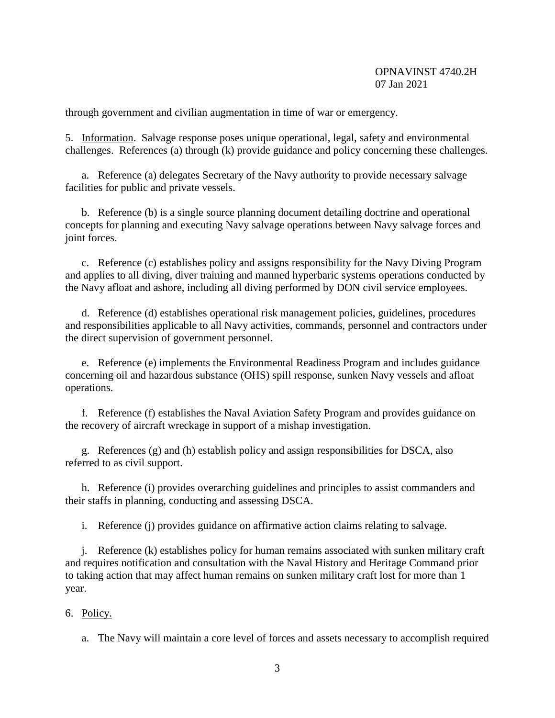through government and civilian augmentation in time of war or emergency.

5. Information. Salvage response poses unique operational, legal, safety and environmental challenges. References (a) through (k) provide guidance and policy concerning these challenges.

a. Reference (a) delegates Secretary of the Navy authority to provide necessary salvage facilities for public and private vessels.

b. Reference (b) is a single source planning document detailing doctrine and operational concepts for planning and executing Navy salvage operations between Navy salvage forces and joint forces.

c. Reference (c) establishes policy and assigns responsibility for the Navy Diving Program and applies to all diving, diver training and manned hyperbaric systems operations conducted by the Navy afloat and ashore, including all diving performed by DON civil service employees.

d. Reference (d) establishes operational risk management policies, guidelines, procedures and responsibilities applicable to all Navy activities, commands, personnel and contractors under the direct supervision of government personnel.

e. Reference (e) implements the Environmental Readiness Program and includes guidance concerning oil and hazardous substance (OHS) spill response, sunken Navy vessels and afloat operations.

f. Reference (f) establishes the Naval Aviation Safety Program and provides guidance on the recovery of aircraft wreckage in support of a mishap investigation.

g. References (g) and (h) establish policy and assign responsibilities for DSCA, also referred to as civil support.

h. Reference (i) provides overarching guidelines and principles to assist commanders and their staffs in planning, conducting and assessing DSCA.

i. Reference (j) provides guidance on affirmative action claims relating to salvage.

j. Reference (k) establishes policy for human remains associated with sunken military craft and requires notification and consultation with the Naval History and Heritage Command prior to taking action that may affect human remains on sunken military craft lost for more than 1 year.

#### 6. Policy.

a. The Navy will maintain a core level of forces and assets necessary to accomplish required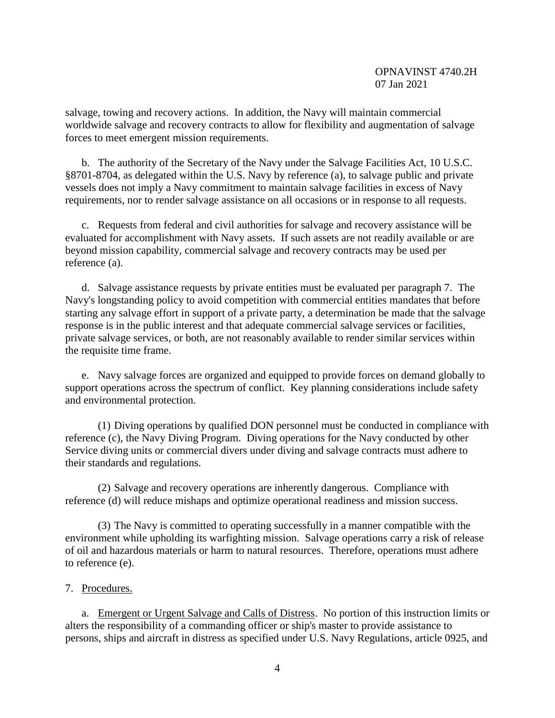salvage, towing and recovery actions. In addition, the Navy will maintain commercial worldwide salvage and recovery contracts to allow for flexibility and augmentation of salvage forces to meet emergent mission requirements.

b. The authority of the Secretary of the Navy under the Salvage Facilities Act, 10 U.S.C. §8701-8704, as delegated within the U.S. Navy by reference (a), to salvage public and private vessels does not imply a Navy commitment to maintain salvage facilities in excess of Navy requirements, nor to render salvage assistance on all occasions or in response to all requests.

c. Requests from federal and civil authorities for salvage and recovery assistance will be evaluated for accomplishment with Navy assets. If such assets are not readily available or are beyond mission capability, commercial salvage and recovery contracts may be used per reference (a).

d. Salvage assistance requests by private entities must be evaluated per paragraph 7. The Navy's longstanding policy to avoid competition with commercial entities mandates that before starting any salvage effort in support of a private party, a determination be made that the salvage response is in the public interest and that adequate commercial salvage services or facilities, private salvage services, or both, are not reasonably available to render similar services within the requisite time frame.

e. Navy salvage forces are organized and equipped to provide forces on demand globally to support operations across the spectrum of conflict. Key planning considerations include safety and environmental protection.

(1) Diving operations by qualified DON personnel must be conducted in compliance with reference (c), the Navy Diving Program. Diving operations for the Navy conducted by other Service diving units or commercial divers under diving and salvage contracts must adhere to their standards and regulations.

(2) Salvage and recovery operations are inherently dangerous. Compliance with reference (d) will reduce mishaps and optimize operational readiness and mission success.

(3) The Navy is committed to operating successfully in a manner compatible with the environment while upholding its warfighting mission. Salvage operations carry a risk of release of oil and hazardous materials or harm to natural resources. Therefore, operations must adhere to reference (e).

#### 7. Procedures.

a. Emergent or Urgent Salvage and Calls of Distress. No portion of this instruction limits or alters the responsibility of a commanding officer or ship's master to provide assistance to persons, ships and aircraft in distress as specified under U.S. Navy Regulations, article 0925, and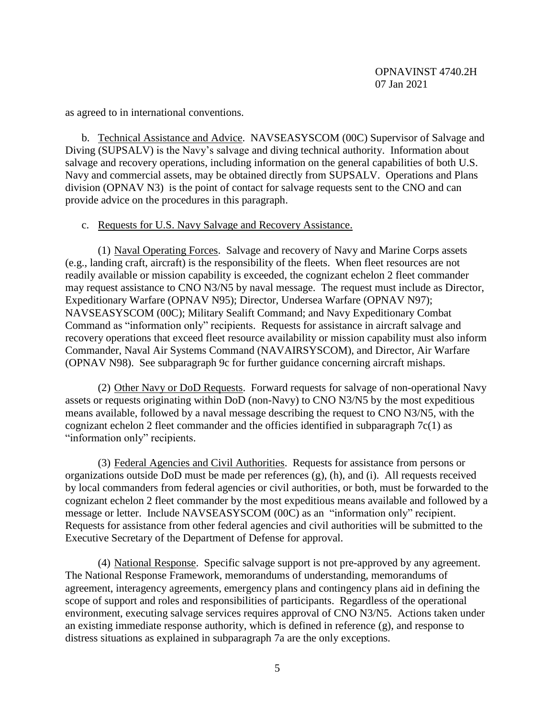as agreed to in international conventions.

b. Technical Assistance and Advice. NAVSEASYSCOM (00C) Supervisor of Salvage and Diving (SUPSALV) is the Navy's salvage and diving technical authority. Information about salvage and recovery operations, including information on the general capabilities of both U.S. Navy and commercial assets, may be obtained directly from SUPSALV. Operations and Plans division (OPNAV N3) is the point of contact for salvage requests sent to the CNO and can provide advice on the procedures in this paragraph.

# c. Requests for U.S. Navy Salvage and Recovery Assistance.

(1) Naval Operating Forces. Salvage and recovery of Navy and Marine Corps assets (e.g., landing craft, aircraft) is the responsibility of the fleets. When fleet resources are not readily available or mission capability is exceeded, the cognizant echelon 2 fleet commander may request assistance to CNO N3/N5 by naval message. The request must include as Director, Expeditionary Warfare (OPNAV N95); Director, Undersea Warfare (OPNAV N97); NAVSEASYSCOM (00C); Military Sealift Command; and Navy Expeditionary Combat Command as "information only" recipients. Requests for assistance in aircraft salvage and recovery operations that exceed fleet resource availability or mission capability must also inform Commander, Naval Air Systems Command (NAVAIRSYSCOM), and Director, Air Warfare (OPNAV N98). See subparagraph 9c for further guidance concerning aircraft mishaps.

(2) Other Navy or DoD Requests. Forward requests for salvage of non-operational Navy assets or requests originating within DoD (non-Navy) to CNO N3/N5 by the most expeditious means available, followed by a naval message describing the request to CNO N3/N5, with the cognizant echelon 2 fleet commander and the officies identified in subparagraph  $7c(1)$  as "information only" recipients.

(3) Federal Agencies and Civil Authorities. Requests for assistance from persons or organizations outside DoD must be made per references (g), (h), and (i). All requests received by local commanders from federal agencies or civil authorities, or both, must be forwarded to the cognizant echelon 2 fleet commander by the most expeditious means available and followed by a message or letter. Include NAVSEASYSCOM (00C) as an "information only" recipient. Requests for assistance from other federal agencies and civil authorities will be submitted to the Executive Secretary of the Department of Defense for approval.

(4) National Response. Specific salvage support is not pre-approved by any agreement. The National Response Framework, memorandums of understanding, memorandums of agreement, interagency agreements, emergency plans and contingency plans aid in defining the scope of support and roles and responsibilities of participants. Regardless of the operational environment, executing salvage services requires approval of CNO N3/N5. Actions taken under an existing immediate response authority, which is defined in reference (g), and response to distress situations as explained in subparagraph 7a are the only exceptions.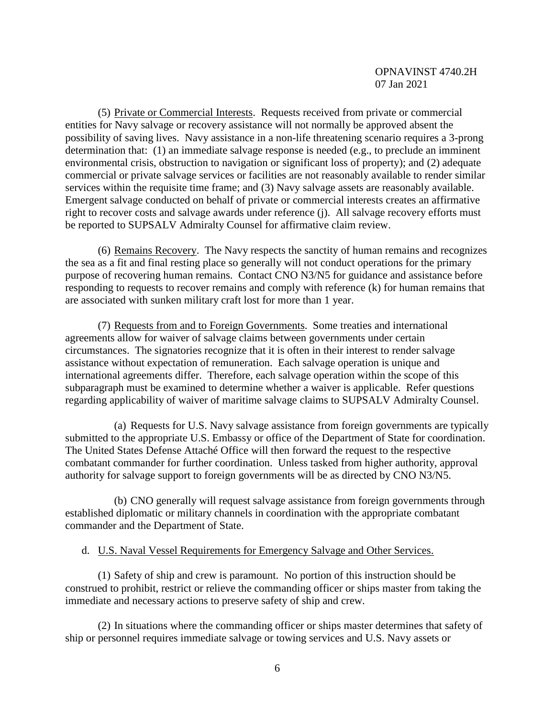(5) Private or Commercial Interests. Requests received from private or commercial entities for Navy salvage or recovery assistance will not normally be approved absent the possibility of saving lives. Navy assistance in a non-life threatening scenario requires a 3-prong determination that: (1) an immediate salvage response is needed (e.g., to preclude an imminent environmental crisis, obstruction to navigation or significant loss of property); and (2) adequate commercial or private salvage services or facilities are not reasonably available to render similar services within the requisite time frame; and (3) Navy salvage assets are reasonably available. Emergent salvage conducted on behalf of private or commercial interests creates an affirmative right to recover costs and salvage awards under reference (j). All salvage recovery efforts must be reported to SUPSALV Admiralty Counsel for affirmative claim review.

(6) Remains Recovery. The Navy respects the sanctity of human remains and recognizes the sea as a fit and final resting place so generally will not conduct operations for the primary purpose of recovering human remains. Contact CNO N3/N5 for guidance and assistance before responding to requests to recover remains and comply with reference (k) for human remains that are associated with sunken military craft lost for more than 1 year.

(7) Requests from and to Foreign Governments. Some treaties and international agreements allow for waiver of salvage claims between governments under certain circumstances. The signatories recognize that it is often in their interest to render salvage assistance without expectation of remuneration. Each salvage operation is unique and international agreements differ. Therefore, each salvage operation within the scope of this subparagraph must be examined to determine whether a waiver is applicable. Refer questions regarding applicability of waiver of maritime salvage claims to SUPSALV Admiralty Counsel.

(a) Requests for U.S. Navy salvage assistance from foreign governments are typically submitted to the appropriate U.S. Embassy or office of the Department of State for coordination. The United States Defense Attaché Office will then forward the request to the respective combatant commander for further coordination. Unless tasked from higher authority, approval authority for salvage support to foreign governments will be as directed by CNO N3/N5.

(b) CNO generally will request salvage assistance from foreign governments through established diplomatic or military channels in coordination with the appropriate combatant commander and the Department of State.

# d. U.S. Naval Vessel Requirements for Emergency Salvage and Other Services.

(1) Safety of ship and crew is paramount. No portion of this instruction should be construed to prohibit, restrict or relieve the commanding officer or ships master from taking the immediate and necessary actions to preserve safety of ship and crew.

(2) In situations where the commanding officer or ships master determines that safety of ship or personnel requires immediate salvage or towing services and U.S. Navy assets or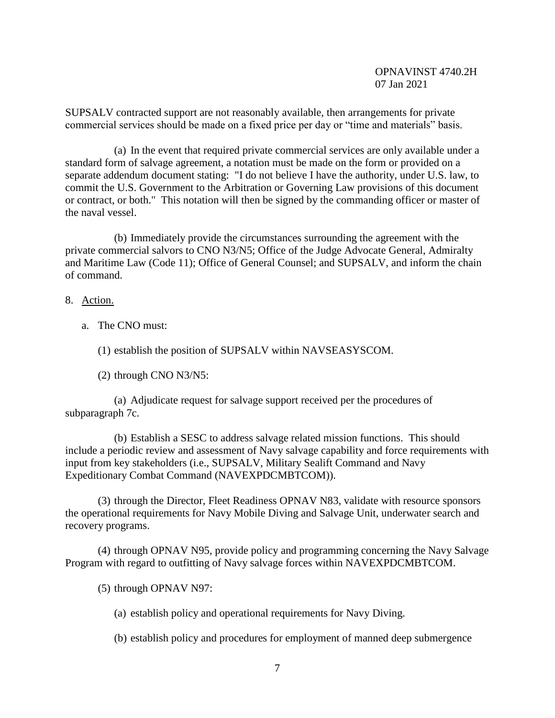SUPSALV contracted support are not reasonably available, then arrangements for private commercial services should be made on a fixed price per day or "time and materials" basis.

(a) In the event that required private commercial services are only available under a standard form of salvage agreement, a notation must be made on the form or provided on a separate addendum document stating: "I do not believe I have the authority, under U.S. law, to commit the U.S. Government to the Arbitration or Governing Law provisions of this document or contract, or both." This notation will then be signed by the commanding officer or master of the naval vessel.

(b) Immediately provide the circumstances surrounding the agreement with the private commercial salvors to CNO N3/N5; Office of the Judge Advocate General, Admiralty and Maritime Law (Code 11); Office of General Counsel; and SUPSALV, and inform the chain of command.

- 8. Action.
	- a. The CNO must:

(1) establish the position of SUPSALV within NAVSEASYSCOM.

(2) through CNO N3/N5:

(a) Adjudicate request for salvage support received per the procedures of subparagraph 7c.

(b) Establish a SESC to address salvage related mission functions. This should include a periodic review and assessment of Navy salvage capability and force requirements with input from key stakeholders (i.e., SUPSALV, Military Sealift Command and Navy Expeditionary Combat Command (NAVEXPDCMBTCOM)).

(3) through the Director, Fleet Readiness OPNAV N83, validate with resource sponsors the operational requirements for Navy Mobile Diving and Salvage Unit, underwater search and recovery programs.

(4) through OPNAV N95, provide policy and programming concerning the Navy Salvage Program with regard to outfitting of Navy salvage forces within NAVEXPDCMBTCOM.

(5) through OPNAV N97:

(a) establish policy and operational requirements for Navy Diving.

(b) establish policy and procedures for employment of manned deep submergence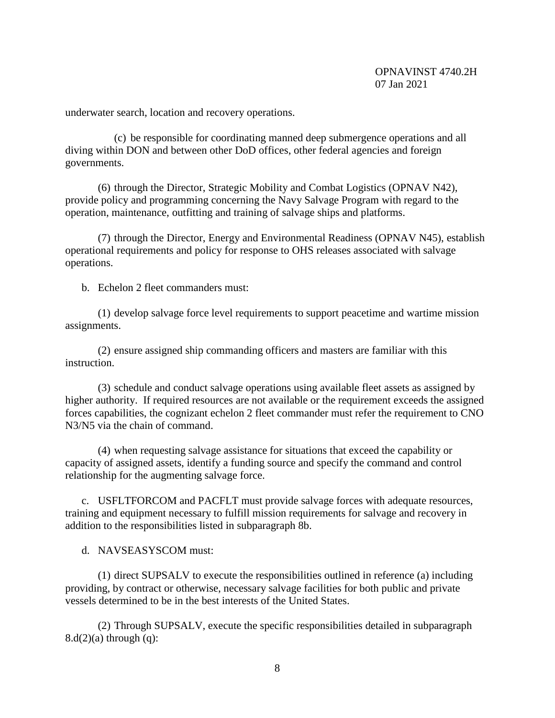underwater search, location and recovery operations.

(c) be responsible for coordinating manned deep submergence operations and all diving within DON and between other DoD offices, other federal agencies and foreign governments.

(6) through the Director, Strategic Mobility and Combat Logistics (OPNAV N42), provide policy and programming concerning the Navy Salvage Program with regard to the operation, maintenance, outfitting and training of salvage ships and platforms.

(7) through the Director, Energy and Environmental Readiness (OPNAV N45), establish operational requirements and policy for response to OHS releases associated with salvage operations.

b. Echelon 2 fleet commanders must:

(1) develop salvage force level requirements to support peacetime and wartime mission assignments.

(2) ensure assigned ship commanding officers and masters are familiar with this instruction.

(3) schedule and conduct salvage operations using available fleet assets as assigned by higher authority. If required resources are not available or the requirement exceeds the assigned forces capabilities, the cognizant echelon 2 fleet commander must refer the requirement to CNO N3/N5 via the chain of command.

(4) when requesting salvage assistance for situations that exceed the capability or capacity of assigned assets, identify a funding source and specify the command and control relationship for the augmenting salvage force.

c. USFLTFORCOM and PACFLT must provide salvage forces with adequate resources, training and equipment necessary to fulfill mission requirements for salvage and recovery in addition to the responsibilities listed in subparagraph 8b.

d. NAVSEASYSCOM must:

(1) direct SUPSALV to execute the responsibilities outlined in reference (a) including providing, by contract or otherwise, necessary salvage facilities for both public and private vessels determined to be in the best interests of the United States.

(2) Through SUPSALV, execute the specific responsibilities detailed in subparagraph  $8.d(2)(a)$  through  $(q)$ :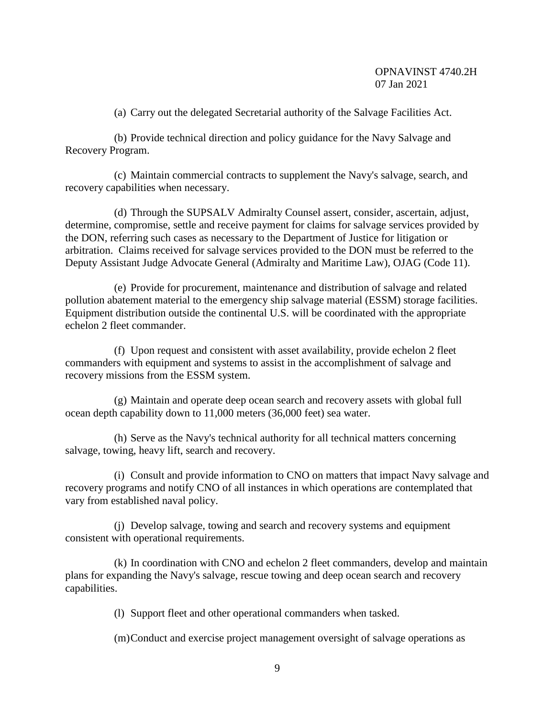(a) Carry out the delegated Secretarial authority of the Salvage Facilities Act.

(b) Provide technical direction and policy guidance for the Navy Salvage and Recovery Program.

(c) Maintain commercial contracts to supplement the Navy's salvage, search, and recovery capabilities when necessary.

(d) Through the SUPSALV Admiralty Counsel assert, consider, ascertain, adjust, determine, compromise, settle and receive payment for claims for salvage services provided by the DON, referring such cases as necessary to the Department of Justice for litigation or arbitration. Claims received for salvage services provided to the DON must be referred to the Deputy Assistant Judge Advocate General (Admiralty and Maritime Law), OJAG (Code 11).

(e) Provide for procurement, maintenance and distribution of salvage and related pollution abatement material to the emergency ship salvage material (ESSM) storage facilities. Equipment distribution outside the continental U.S. will be coordinated with the appropriate echelon 2 fleet commander.

(f) Upon request and consistent with asset availability, provide echelon 2 fleet commanders with equipment and systems to assist in the accomplishment of salvage and recovery missions from the ESSM system.

(g) Maintain and operate deep ocean search and recovery assets with global full ocean depth capability down to 11,000 meters (36,000 feet) sea water.

(h) Serve as the Navy's technical authority for all technical matters concerning salvage, towing, heavy lift, search and recovery.

(i) Consult and provide information to CNO on matters that impact Navy salvage and recovery programs and notify CNO of all instances in which operations are contemplated that vary from established naval policy.

(j) Develop salvage, towing and search and recovery systems and equipment consistent with operational requirements.

(k) In coordination with CNO and echelon 2 fleet commanders, develop and maintain plans for expanding the Navy's salvage, rescue towing and deep ocean search and recovery capabilities.

(l) Support fleet and other operational commanders when tasked.

(m)Conduct and exercise project management oversight of salvage operations as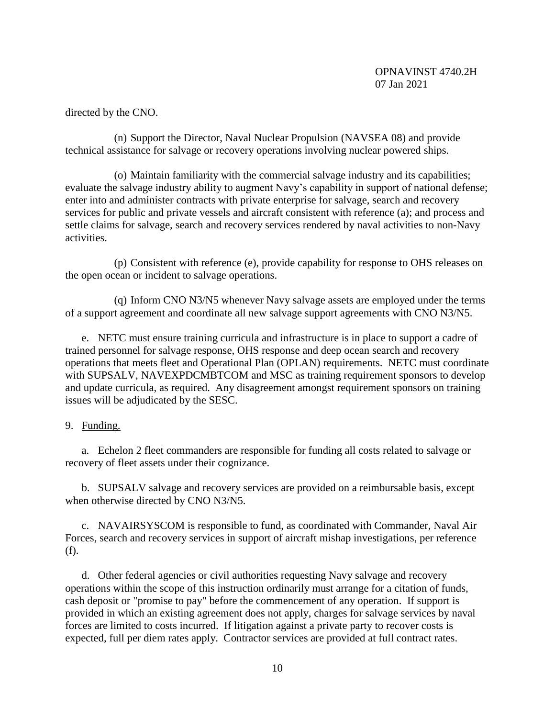directed by the CNO.

(n) Support the Director, Naval Nuclear Propulsion (NAVSEA 08) and provide technical assistance for salvage or recovery operations involving nuclear powered ships.

(o) Maintain familiarity with the commercial salvage industry and its capabilities; evaluate the salvage industry ability to augment Navy's capability in support of national defense; enter into and administer contracts with private enterprise for salvage, search and recovery services for public and private vessels and aircraft consistent with reference (a); and process and settle claims for salvage, search and recovery services rendered by naval activities to non-Navy activities.

(p) Consistent with reference (e), provide capability for response to OHS releases on the open ocean or incident to salvage operations.

(q) Inform CNO N3/N5 whenever Navy salvage assets are employed under the terms of a support agreement and coordinate all new salvage support agreements with CNO N3/N5.

e. NETC must ensure training curricula and infrastructure is in place to support a cadre of trained personnel for salvage response, OHS response and deep ocean search and recovery operations that meets fleet and Operational Plan (OPLAN) requirements. NETC must coordinate with SUPSALV, NAVEXPDCMBTCOM and MSC as training requirement sponsors to develop and update curricula, as required. Any disagreement amongst requirement sponsors on training issues will be adjudicated by the SESC.

# 9. Funding.

a. Echelon 2 fleet commanders are responsible for funding all costs related to salvage or recovery of fleet assets under their cognizance.

b. SUPSALV salvage and recovery services are provided on a reimbursable basis, except when otherwise directed by CNO N3/N5.

c. NAVAIRSYSCOM is responsible to fund, as coordinated with Commander, Naval Air Forces, search and recovery services in support of aircraft mishap investigations, per reference (f).

d. Other federal agencies or civil authorities requesting Navy salvage and recovery operations within the scope of this instruction ordinarily must arrange for a citation of funds, cash deposit or "promise to pay" before the commencement of any operation. If support is provided in which an existing agreement does not apply, charges for salvage services by naval forces are limited to costs incurred. If litigation against a private party to recover costs is expected, full per diem rates apply. Contractor services are provided at full contract rates.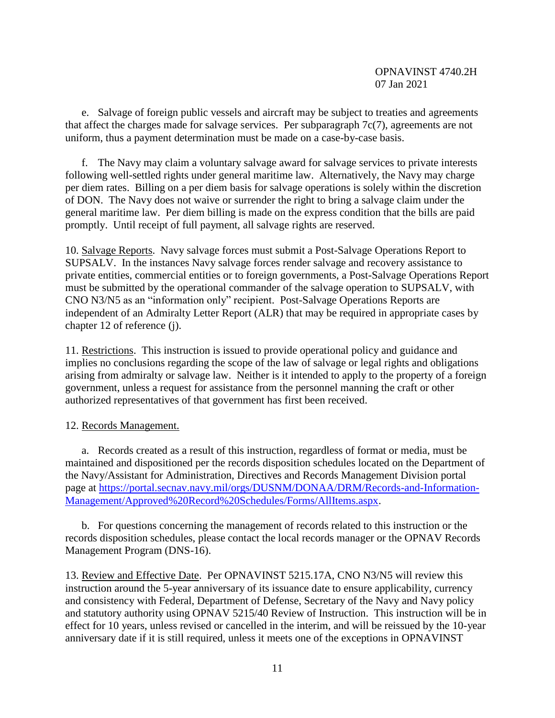e. Salvage of foreign public vessels and aircraft may be subject to treaties and agreements that affect the charges made for salvage services. Per subparagraph 7c(7), agreements are not uniform, thus a payment determination must be made on a case-by-case basis.

f. The Navy may claim a voluntary salvage award for salvage services to private interests following well-settled rights under general maritime law. Alternatively, the Navy may charge per diem rates. Billing on a per diem basis for salvage operations is solely within the discretion of DON. The Navy does not waive or surrender the right to bring a salvage claim under the general maritime law. Per diem billing is made on the express condition that the bills are paid promptly. Until receipt of full payment, all salvage rights are reserved.

10. Salvage Reports. Navy salvage forces must submit a Post-Salvage Operations Report to SUPSALV. In the instances Navy salvage forces render salvage and recovery assistance to private entities, commercial entities or to foreign governments, a Post-Salvage Operations Report must be submitted by the operational commander of the salvage operation to SUPSALV, with CNO N3/N5 as an "information only" recipient. Post-Salvage Operations Reports are independent of an Admiralty Letter Report (ALR) that may be required in appropriate cases by chapter 12 of reference (j).

11. Restrictions. This instruction is issued to provide operational policy and guidance and implies no conclusions regarding the scope of the law of salvage or legal rights and obligations arising from admiralty or salvage law. Neither is it intended to apply to the property of a foreign government, unless a request for assistance from the personnel manning the craft or other authorized representatives of that government has first been received.

# 12. Records Management.

a. Records created as a result of this instruction, regardless of format or media, must be maintained and dispositioned per the records disposition schedules located on the Department of the Navy/Assistant for Administration, Directives and Records Management Division portal page at [https://portal.secnav.navy.mil/orgs/DUSNM/DONAA/DRM/Records-and-Information-](https://portal.secnav.navy.mil/orgs/DUSNM/DONAA/DRM/Records-and-Information-Management/Approved%20Record%20Schedules/Forms/AllItems.aspx)[Management/Approved%20Record%20Schedules/Forms/AllItems.aspx.](https://portal.secnav.navy.mil/orgs/DUSNM/DONAA/DRM/Records-and-Information-Management/Approved%20Record%20Schedules/Forms/AllItems.aspx)

b. For questions concerning the management of records related to this instruction or the records disposition schedules, please contact the local records manager or the OPNAV Records Management Program (DNS-16).

13. Review and Effective Date. Per OPNAVINST 5215.17A, CNO N3/N5 will review this instruction around the 5-year anniversary of its issuance date to ensure applicability, currency and consistency with Federal, Department of Defense, Secretary of the Navy and Navy policy and statutory authority using OPNAV 5215/40 Review of Instruction. This instruction will be in effect for 10 years, unless revised or cancelled in the interim, and will be reissued by the 10-year anniversary date if it is still required, unless it meets one of the exceptions in OPNAVINST